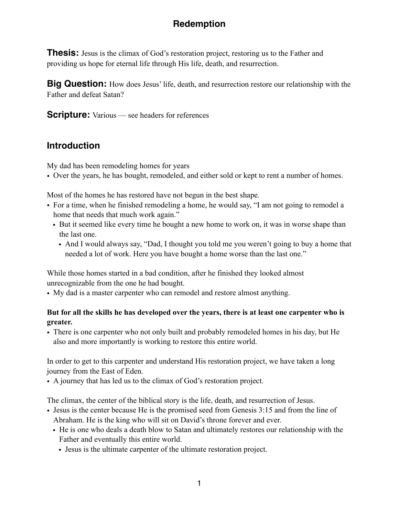# **Redemption**

**Thesis:** Jesus is the climax of God's restoration project, restoring us to the Father and providing us hope for eternal life through His life, death, and resurrection.

**Big Question:** How does Jesus' life, death, and resurrection restore our relationship with the Father and defeat Satan?

**Scripture:** Various — see headers for references

## **Introduction**

My dad has been remodeling homes for years

• Over the years, he has bought, remodeled, and either sold or kept to rent a number of homes.

Most of the homes he has restored have not begun in the best shape.

- For a time, when he finished remodeling a home, he would say, "I am not going to remodel a home that needs that much work again."
	- But it seemed like every time he bought a new home to work on, it was in worse shape than the last one.
		- And I would always say, "Dad, I thought you told me you weren't going to buy a home that needed a lot of work. Here you have bought a home worse than the last one."

While those homes started in a bad condition, after he finished they looked almost unrecognizable from the one he had bought.

• My dad is a master carpenter who can remodel and restore almost anything.

## **But for all the skills he has developed over the years, there is at least one carpenter who is greater.**

• There is one carpenter who not only built and probably remodeled homes in his day, but He also and more importantly is working to restore this entire world.

In order to get to this carpenter and understand His restoration project, we have taken a long journey from the East of Eden.

• A journey that has led us to the climax of God's restoration project.

The climax, the center of the biblical story is the life, death, and resurrection of Jesus.

- Jesus is the center because He is the promised seed from Genesis 3:15 and from the line of Abraham. He is the king who will sit on David's throne forever and ever.
	- He is one who deals a death blow to Satan and ultimately restores our relationship with the Father and eventually this entire world.
		- Jesus is the ultimate carpenter of the ultimate restoration project.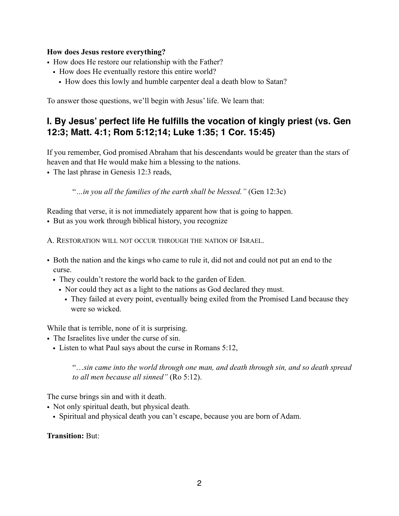### **How does Jesus restore everything?**

- How does He restore our relationship with the Father?
	- How does He eventually restore this entire world?
		- How does this lowly and humble carpenter deal a death blow to Satan?

To answer those questions, we'll begin with Jesus' life. We learn that:

## **I. By Jesus' perfect life He fulfills the vocation of kingly priest (vs. Gen 12:3; Matt. 4:1; Rom 5:12;14; Luke 1:35; 1 Cor. 15:45)**

If you remember, God promised Abraham that his descendants would be greater than the stars of heaven and that He would make him a blessing to the nations.

• The last phrase in Genesis 12:3 reads,

"*…in you all the families of the earth shall be blessed."* (Gen 12:3c)

Reading that verse, it is not immediately apparent how that is going to happen.

• But as you work through biblical history, you recognize

A. RESTORATION WILL NOT OCCUR THROUGH THE NATION OF ISRAEL.

- Both the nation and the kings who came to rule it, did not and could not put an end to the curse.
	- They couldn't restore the world back to the garden of Eden.
		- Nor could they act as a light to the nations as God declared they must.
			- They failed at every point, eventually being exiled from the Promised Land because they were so wicked.

While that is terrible, none of it is surprising.

- The Israelites live under the curse of sin.
	- Listen to what Paul says about the curse in Romans 5:12,

"…*sin came into the world through one man, and death through sin, and so death spread to all men because all sinned"* (Ro 5:12).

The curse brings sin and with it death.

- Not only spiritual death, but physical death.
	- Spiritual and physical death you can't escape, because you are born of Adam.

**Transition:** But: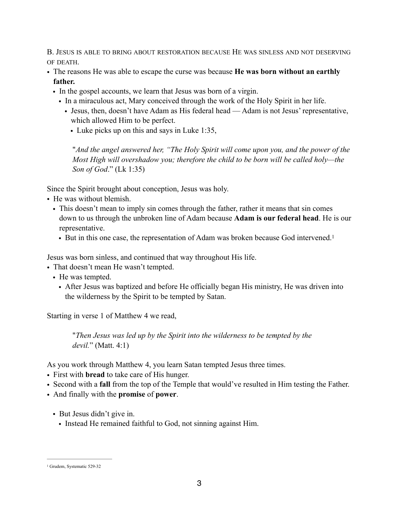B. JESUS IS ABLE TO BRING ABOUT RESTORATION BECAUSE HE WAS SINLESS AND NOT DESERVING OF DEATH.

- The reasons He was able to escape the curse was because **He was born without an earthly father.**
	- In the gospel accounts, we learn that Jesus was born of a virgin.
		- In a miraculous act, Mary conceived through the work of the Holy Spirit in her life.
			- Jesus, then, doesn't have Adam as His federal head Adam is not Jesus' representative, which allowed Him to be perfect.
				- Luke picks up on this and says in Luke 1:35,

<span id="page-2-1"></span>"*And the angel answered her, "The Holy Spirit will come upon you, and the power of the Most High will overshadow you; therefore the child to be born will be called holy—the Son of God*." (Lk 1:35)

Since the Spirit brought about conception, Jesus was holy.

- He was without blemish.
	- This doesn't mean to imply sin comes through the father, rather it means that sin comes down to us through the unbroken line of Adam because **Adam is our federal head**. He is our representative.
		- But in this one case, the representation of Adam was broken because God intervened[.](#page-2-0) [1](#page-2-0)

Jesus was born sinless, and continued that way throughout His life.

• That doesn't mean He wasn't tempted.

- He was tempted.
	- After Jesus was baptized and before He officially began His ministry, He was driven into the wilderness by the Spirit to be tempted by Satan.

Starting in verse 1 of Matthew 4 we read,

"*Then Jesus was led up by the Spirit into the wilderness to be tempted by the devil.*" (Matt. 4:1)

As you work through Matthew 4, you learn Satan tempted Jesus three times.

- First with **bread** to take care of His hunger.
- Second with a **fall** from the top of the Temple that would've resulted in Him testing the Father.
- And finally with the **promise** of **power**.
	- But Jesus didn't give in.
		- Instead He remained faithful to God, not sinning against Him.

<span id="page-2-0"></span>[<sup>1</sup>](#page-2-1) Grudem, Systematic 529-32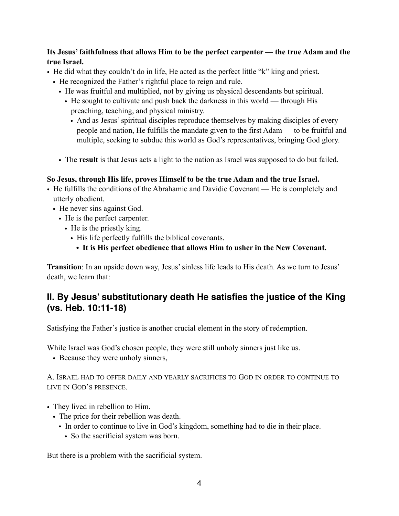## **Its Jesus' faithfulness that allows Him to be the perfect carpenter — the true Adam and the true Israel.**

- He did what they couldn't do in life, He acted as the perfect little "k" king and priest.
	- He recognized the Father's rightful place to reign and rule.
		- He was fruitful and multiplied, not by giving us physical descendants but spiritual.
			- He sought to cultivate and push back the darkness in this world through His preaching, teaching, and physical ministry.
				- And as Jesus' spiritual disciples reproduce themselves by making disciples of every people and nation, He fulfills the mandate given to the first Adam — to be fruitful and multiple, seeking to subdue this world as God's representatives, bringing God glory.
		- The **result** is that Jesus acts a light to the nation as Israel was supposed to do but failed.

### **So Jesus, through His life, proves Himself to be the true Adam and the true Israel.**

- He fulfills the conditions of the Abrahamic and Davidic Covenant He is completely and utterly obedient.
	- He never sins against God.
		- He is the perfect carpenter.
			- He is the priestly king.
				- His life perfectly fulfills the biblical covenants.
					- **• It is His perfect obedience that allows Him to usher in the New Covenant.**

**Transition**: In an upside down way, Jesus' sinless life leads to His death. As we turn to Jesus' death, we learn that:

## **II. By Jesus' substitutionary death He satisfies the justice of the King (vs. Heb. 10:11-18)**

Satisfying the Father's justice is another crucial element in the story of redemption.

While Israel was God's chosen people, they were still unholy sinners just like us.

• Because they were unholy sinners,

### A. ISRAEL HAD TO OFFER DAILY AND YEARLY SACRIFICES TO GOD IN ORDER TO CONTINUE TO LIVE IN GOD'S PRESENCE.

- They lived in rebellion to Him.
	- The price for their rebellion was death.
		- In order to continue to live in God's kingdom, something had to die in their place.
			- So the sacrificial system was born.

But there is a problem with the sacrificial system.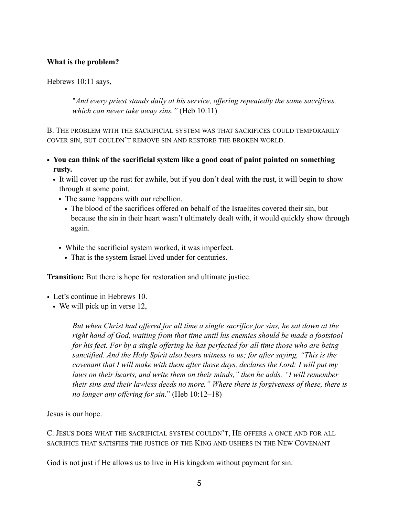#### **What is the problem?**

Hebrews 10:11 says,

"*And every priest stands daily at his service, offering repeatedly the same sacrifices, which can never take away sins."* (Heb 10:11)

B. THE PROBLEM WITH THE SACRIFICIAL SYSTEM WAS THAT SACRIFICES COULD TEMPORARILY COVER SIN, BUT COULDN'T REMOVE SIN AND RESTORE THE BROKEN WORLD.

- **• You can think of the sacrificial system like a good coat of paint painted on something rusty.** 
	- It will cover up the rust for awhile, but if you don't deal with the rust, it will begin to show through at some point.
		- The same happens with our rebellion.
			- The blood of the sacrifices offered on behalf of the Israelites covered their sin, but because the sin in their heart wasn't ultimately dealt with, it would quickly show through again.
		- While the sacrificial system worked, it was imperfect.
			- That is the system Israel lived under for centuries.

**Transition:** But there is hope for restoration and ultimate justice.

- Let's continue in Hebrews 10.
	- We will pick up in verse 12,

*But when Christ had offered for all time a single sacrifice for sins, he sat down at the right hand of God, waiting from that time until his enemies should be made a footstool for his feet. For by a single offering he has perfected for all time those who are being sanctified. And the Holy Spirit also bears witness to us; for after saying, "This is the covenant that I will make with them after those days, declares the Lord: I will put my laws on their hearts, and write them on their minds," then he adds, "I will remember their sins and their lawless deeds no more." Where there is forgiveness of these, there is no longer any offering for sin.*" (Heb 10:12–18)

Jesus is our hope.

C. JESUS DOES WHAT THE SACRIFICIAL SYSTEM COULDN'T, HE OFFERS A ONCE AND FOR ALL SACRIFICE THAT SATISFIES THE JUSTICE OF THE KING AND USHERS IN THE NEW COVENANT

God is not just if He allows us to live in His kingdom without payment for sin.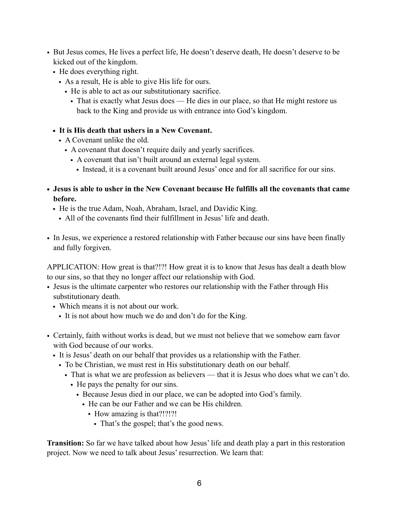- But Jesus comes, He lives a perfect life, He doesn't deserve death, He doesn't deserve to be kicked out of the kingdom.
	- He does everything right.
		- As a result, He is able to give His life for ours.
			- He is able to act as our substitutionary sacrifice.
				- That is exactly what Jesus does He dies in our place, so that He might restore us back to the King and provide us with entrance into God's kingdom.
	- **• It is His death that ushers in a New Covenant.** 
		- A Covenant unlike the old.
			- A covenant that doesn't require daily and yearly sacrifices.
				- A covenant that isn't built around an external legal system.
					- Instead, it is a covenant built around Jesus' once and for all sacrifice for our sins.
- **• Jesus is able to usher in the New Covenant because He fulfills all the covenants that came before.** 
	- He is the true Adam, Noah, Abraham, Israel, and Davidic King.
		- All of the covenants find their fulfillment in Jesus' life and death.
- In Jesus, we experience a restored relationship with Father because our sins have been finally and fully forgiven.

APPLICATION: How great is that?!?! How great it is to know that Jesus has dealt a death blow to our sins, so that they no longer affect our relationship with God.

- Jesus is the ultimate carpenter who restores our relationship with the Father through His substitutionary death.
	- Which means it is not about our work.
		- It is not about how much we do and don't do for the King.
- Certainly, faith without works is dead, but we must not believe that we somehow earn favor with God because of our works.
	- It is Jesus' death on our behalf that provides us a relationship with the Father.
		- To be Christian, we must rest in His substitutionary death on our behalf.
			- That is what we are profession as believers that it is Jesus who does what we can't do.
				- He pays the penalty for our sins.
					- Because Jesus died in our place, we can be adopted into God's family.
						- He can be our Father and we can be His children.
							- How amazing is that?!?!?!
								- That's the gospel; that's the good news.

**Transition:** So far we have talked about how Jesus' life and death play a part in this restoration project. Now we need to talk about Jesus' resurrection. We learn that: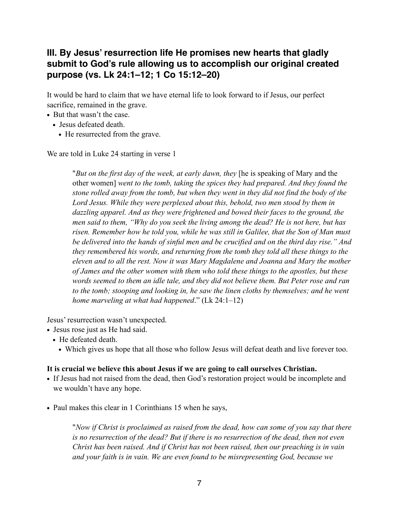## **III. By Jesus' resurrection life He promises new hearts that gladly submit to God's rule allowing us to accomplish our original created purpose (vs. Lk 24:1–12; 1 Co 15:12–20)**

It would be hard to claim that we have eternal life to look forward to if Jesus, our perfect sacrifice, remained in the grave.

- **•** But that wasn't the case.
	- **•** Jesus defeated death.
		- **•** He resurrected from the grave.

We are told in Luke 24 starting in verse 1

"*But on the first day of the week, at early dawn, they* [he is speaking of Mary and the other women] *went to the tomb, taking the spices they had prepared. And they found the stone rolled away from the tomb, but when they went in they did not find the body of the*  Lord Jesus. While they were perplexed about this, behold, two men stood by them in *dazzling apparel. And as they were frightened and bowed their faces to the ground, the men said to them, "Why do you seek the living among the dead? He is not here, but has risen. Remember how he told you, while he was still in Galilee, that the Son of Man must be delivered into the hands of sinful men and be crucified and on the third day rise." And they remembered his words, and returning from the tomb they told all these things to the eleven and to all the rest. Now it was Mary Magdalene and Joanna and Mary the mother of James and the other women with them who told these things to the apostles, but these words seemed to them an idle tale, and they did not believe them. But Peter rose and ran to the tomb; stooping and looking in, he saw the linen cloths by themselves; and he went home marveling at what had happened*." (Lk 24:1–12)

Jesus' resurrection wasn't unexpected.

- **•** Jesus rose just as He had said.
	- **•** He defeated death.
		- **•** Which gives us hope that all those who follow Jesus will defeat death and live forever too.

### **It is crucial we believe this about Jesus if we are going to call ourselves Christian.**

- **•** If Jesus had not raised from the dead, then God's restoration project would be incomplete and we wouldn't have any hope.
- **•** Paul makes this clear in 1 Corinthians 15 when he says,

"*Now if Christ is proclaimed as raised from the dead, how can some of you say that there is no resurrection of the dead? But if there is no resurrection of the dead, then not even Christ has been raised. And if Christ has not been raised, then our preaching is in vain and your faith is in vain. We are even found to be misrepresenting God, because we*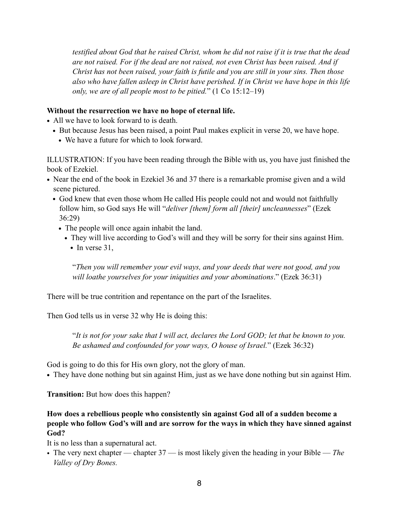*testified about God that he raised Christ, whom he did not raise if it is true that the dead are not raised. For if the dead are not raised, not even Christ has been raised. And if Christ has not been raised, your faith is futile and you are still in your sins. Then those also who have fallen asleep in Christ have perished. If in Christ we have hope in this life only, we are of all people most to be pitied.*" (1 Co 15:12–19)

### **Without the resurrection we have no hope of eternal life.**

- **•** All we have to look forward to is death.
	- **•** But because Jesus has been raised, a point Paul makes explicit in verse 20, we have hope.
		- **•** We have a future for which to look forward.

ILLUSTRATION: If you have been reading through the Bible with us, you have just finished the book of Ezekiel.

- **•** Near the end of the book in Ezekiel 36 and 37 there is a remarkable promise given and a wild scene pictured.
	- **•** God knew that even those whom He called His people could not and would not faithfully follow him, so God says He will "*deliver [them] form all [their] uncleannesses*" (Ezek 36:29)
		- **•** The people will once again inhabit the land.
			- **•** They will live according to God's will and they will be sorry for their sins against Him.
				- In verse 31,

"*Then you will remember your evil ways, and your deeds that were not good, and you will loathe yourselves for your iniquities and your abominations*." (Ezek 36:31)

There will be true contrition and repentance on the part of the Israelites.

Then God tells us in verse 32 why He is doing this:

"*It is not for your sake that I will act, declares the Lord GOD; let that be known to you. Be ashamed and confounded for your ways, O house of Israel.*" (Ezek 36:32)

God is going to do this for His own glory, not the glory of man.

**•** They have done nothing but sin against Him, just as we have done nothing but sin against Him.

**Transition:** But how does this happen?

## **How does a rebellious people who consistently sin against God all of a sudden become a people who follow God's will and are sorrow for the ways in which they have sinned against God?**

It is no less than a supernatural act.

• The very next chapter — chapter 37 — is most likely given the heading in your Bible — *The Valley of Dry Bones.*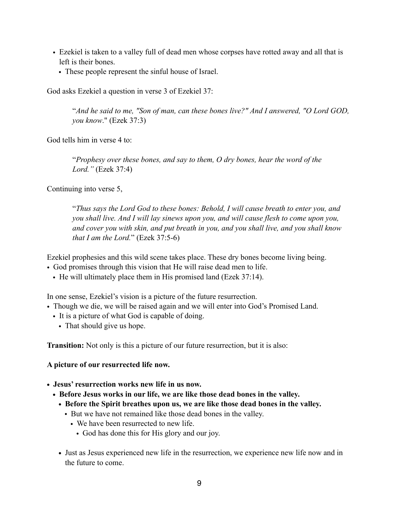- Ezekiel is taken to a valley full of dead men whose corpses have rotted away and all that is left is their bones.
	- These people represent the sinful house of Israel.

God asks Ezekiel a question in verse 3 of Ezekiel 37:

"*And he said to me, "Son of man, can these bones live?" And I answered, "O Lord GOD, you know*." (Ezek 37:3)

God tells him in verse 4 to:

"*Prophesy over these bones, and say to them, O dry bones, hear the word of the Lord."* (Ezek 37:4)

Continuing into verse 5,

"*Thus says the Lord God to these bones: Behold, I will cause breath to enter you, and you shall live. And I will lay sinews upon you, and will cause flesh to come upon you, and cover you with skin, and put breath in you, and you shall live, and you shall know that I am the Lord.*" (Ezek 37:5-6)

Ezekiel prophesies and this wild scene takes place. These dry bones become living being.

- God promises through this vision that He will raise dead men to life.
	- He will ultimately place them in His promised land (Ezek 37:14).

In one sense, Ezekiel's vision is a picture of the future resurrection.

- Though we die, we will be raised again and we will enter into God's Promised Land.
	- It is a picture of what God is capable of doing.
		- That should give us hope.

**Transition:** Not only is this a picture of our future resurrection, but it is also:

**A picture of our resurrected life now.** 

- **• Jesus' resurrection works new life in us now.** 
	- **• Before Jesus works in our life, we are like those dead bones in the valley.** 
		- **• Before the Spirit breathes upon us, we are like those dead bones in the valley.** 
			- But we have not remained like those dead bones in the valley.
				- We have been resurrected to new life.
					- God has done this for His glory and our joy.
		- **•** Just as Jesus experienced new life in the resurrection, we experience new life now and in the future to come.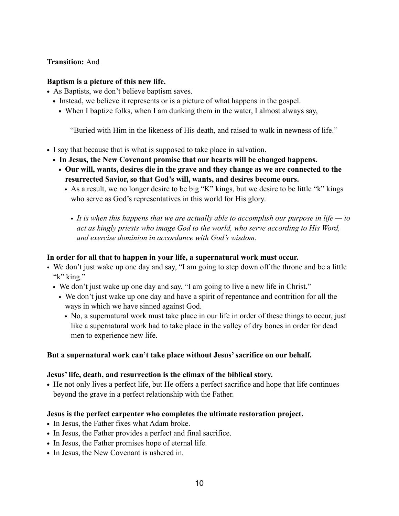#### **Transition:** And

#### **Baptism is a picture of this new life.**

- **•** As Baptists, we don't believe baptism saves.
	- Instead, we believe it represents or is a picture of what happens in the gospel.
		- **•** When I baptize folks, when I am dunking them in the water, I almost always say,

"Buried with Him in the likeness of His death, and raised to walk in newness of life."

- **•** I say that because that is what is supposed to take place in salvation.
	- **• In Jesus, the New Covenant promise that our hearts will be changed happens.** 
		- **• Our will, wants, desires die in the grave and they change as we are connected to the resurrected Savior, so that God's will, wants, and desires become ours.** 
			- As a result, we no longer desire to be big "K" kings, but we desire to be little "k" kings who serve as God's representatives in this world for His glory.
				- *• It is when this happens that we are actually able to accomplish our purpose in life to act as kingly priests who image God to the world, who serve according to His Word, and exercise dominion in accordance with God's wisdom.*

#### **In order for all that to happen in your life, a supernatural work must occur.**

- We don't just wake up one day and say, "I am going to step down off the throne and be a little "k" king."
	- We don't just wake up one day and say, "I am going to live a new life in Christ."
		- We don't just wake up one day and have a spirit of repentance and contrition for all the ways in which we have sinned against God.
			- No, a supernatural work must take place in our life in order of these things to occur, just like a supernatural work had to take place in the valley of dry bones in order for dead men to experience new life.

#### **But a supernatural work can't take place without Jesus' sacrifice on our behalf.**

#### **Jesus' life, death, and resurrection is the climax of the biblical story.**

• He not only lives a perfect life, but He offers a perfect sacrifice and hope that life continues beyond the grave in a perfect relationship with the Father.

#### **Jesus is the perfect carpenter who completes the ultimate restoration project.**

- **•** In Jesus, the Father fixes what Adam broke.
- **•** In Jesus, the Father provides a perfect and final sacrifice.
- **•** In Jesus, the Father promises hope of eternal life.
- **•** In Jesus, the New Covenant is ushered in.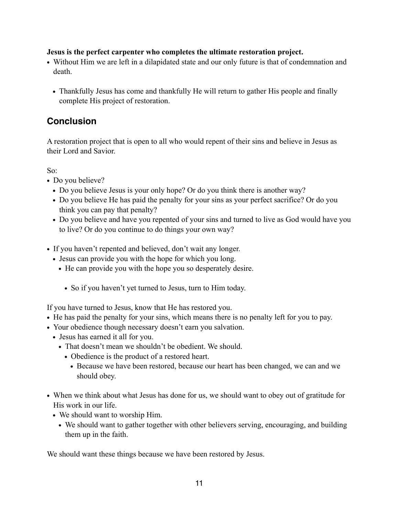### **Jesus is the perfect carpenter who completes the ultimate restoration project.**

- Without Him we are left in a dilapidated state and our only future is that of condemnation and death.
	- Thankfully Jesus has come and thankfully He will return to gather His people and finally complete His project of restoration.

## **Conclusion**

A restoration project that is open to all who would repent of their sins and believe in Jesus as their Lord and Savior.

So:

- Do you believe?
	- Do you believe Jesus is your only hope? Or do you think there is another way?
	- Do you believe He has paid the penalty for your sins as your perfect sacrifice? Or do you think you can pay that penalty?
	- Do you believe and have you repented of your sins and turned to live as God would have you to live? Or do you continue to do things your own way?
- **•** If you haven't repented and believed, don't wait any longer.
	- **•** Jesus can provide you with the hope for which you long.
		- **•** He can provide you with the hope you so desperately desire.
			- **•** So if you haven't yet turned to Jesus, turn to Him today.

If you have turned to Jesus, know that He has restored you.

- He has paid the penalty for your sins, which means there is no penalty left for you to pay.
- **•** Your obedience though necessary doesn't earn you salvation.
	- **•** Jesus has earned it all for you.
		- **•** That doesn't mean we shouldn't be obedient. We should.
			- **•** Obedience is the product of a restored heart.
				- **•** Because we have been restored, because our heart has been changed, we can and we should obey.
- **•** When we think about what Jesus has done for us, we should want to obey out of gratitude for His work in our life.
	- **•** We should want to worship Him.
		- We should want to gather together with other believers serving, encouraging, and building them up in the faith.

We should want these things because we have been restored by Jesus.